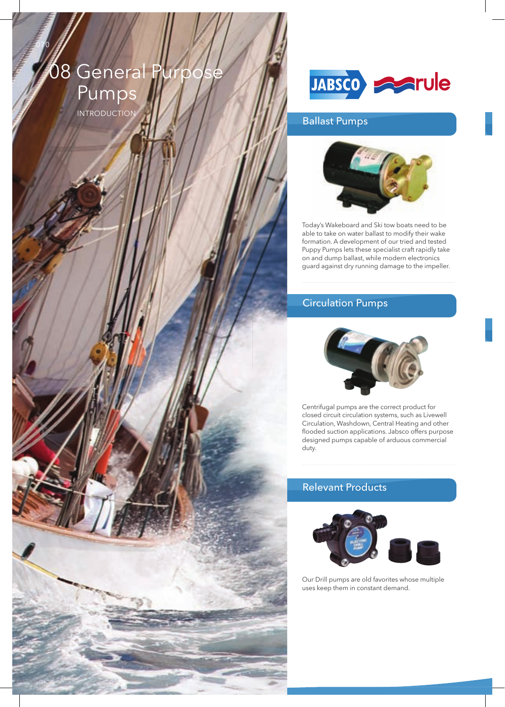# $08$  General Purp Pumps

InTRODuCTIOn

070



# Ballast Pumps



Today's Wakeboard and Ski tow boats need to be able to take on water ballast to modify their wake formation. A development of our tried and tested Puppy Pumps lets these specialist craft rapidly take on and dump ballast, while modern electronics guard against dry running damage to the impeller.

# Circulation Pumps



Centrifugal pumps are the correct product for closed circuit circulation systems, such as Livewell Circulation, Washdown, Central Heating and other flooded suction applications. Jabsco offers purpose designed pumps capable of arduous commercial duty.

# Relevant Products



Our Drill pumps are old favorites whose multiple uses keep them in constant demand.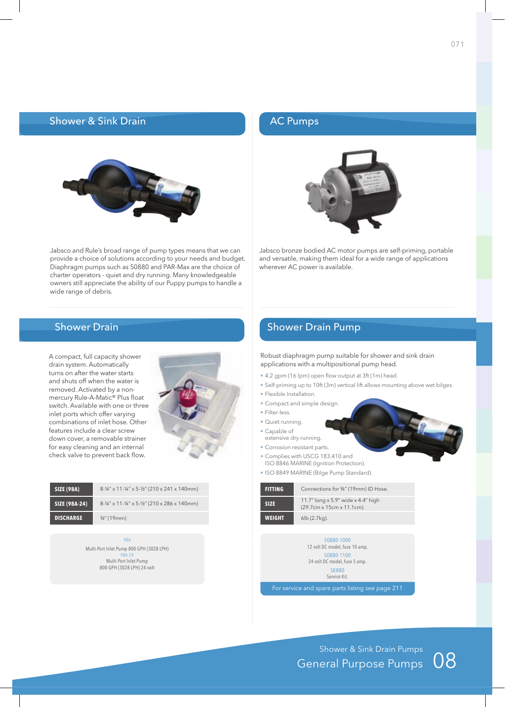### **Shower & Sink Drain**



Jabsco and Rule's broad range of pump types means that we can provide a choice of solutions according to your needs and budget. Diaphragm pumps such as 50880 and PAR-Max are the choice of charter operators - quiet and dry running. Many knowledgeable owners still appreciate the ability of our Puppy pumps to handle a wide range of debris.

# Shower Drain

A compact, full capacity shower drain system. Automatically turns on after the water starts and shuts off when the water is removed. Activated by a nonmercury Rule-A-Matic<sup>®</sup> Plus float switch. Available with one or three inlet ports which offer varying combinations of inlet hose. Other features include a clear screw down cover, a removable strainer for easy cleaning and an internal check valve to prevent back flow.



| <b>SIZE (98A)</b> | $8 - 1/4$ " x 11 - $1/4$ " x 5 - $1/2$ " (210 x 241 x 140mm) |
|-------------------|--------------------------------------------------------------|
| SIZE (98A-24)     | 8-1/4" x 11-1/4" x 5-1/2" (210 x 286 x 140mm)                |
| <b>DISCHARGE</b>  | $\frac{3}{4}$ " (19mm)                                       |

98A Multi-Port Inlet Pump 800 GPH (3028 LPH) 98A-24 Multi-Port Inlet Pump 800 GPH (3028 LPH) 24-volt

# AC Pumps



Jabsco bronze bodied AC motor pumps are self-priming, portable and versatile, making them ideal for a wide range of applications wherever AC power is available.

## Shower Drain Pump

Robust diaphragm pump suitable for shower and sink drain applications with a multipositional pump head.

- $\bullet$  4.2 gpm (16 lpm) open flow output at 3ft (1m) head.
- Self-priming up to 10ft (3m) vertical lift allows mounting above wet bilges.
- Flexible Installation.
- Compact and simple design.
- Filter-less.
- Quiet running.
- Capable of
- extensive dry running.
- Corrosion resistant parts.
- Complies with USCG 183.410 and
- ISO 8846 MARInE (Ignition Protection). • ISO 8849 MARInE (Bilge Pump Standard).

| <b>FITTING</b> | Connections for 3/4" (19mm) ID Hose.                                                      |
|----------------|-------------------------------------------------------------------------------------------|
|                | $A \rightarrow U$ $A \rightarrow U$ $A \rightarrow U$ $A \rightarrow U$ $A \rightarrow U$ |

| <b>SIZE</b>   | 11.7" long x 5.9" wide x 4.4" high<br>$(29.7cm \times 15cm \times 11.1cm)$ . |
|---------------|------------------------------------------------------------------------------|
| <b>WEIGHT</b> | $6\mathsf{lb}$ (2.7 $\mathsf{kg}$ ).                                         |

50880-1000 12 volt DC model, fuse 10 amp. 50880-1100 24 volt DC model, fuse 5 amp. SK880 Service Kit.

For service and spare parts listing see page 211

Shower & Sink Drain Pumps<br>General Purpose Pumps  $\;$  08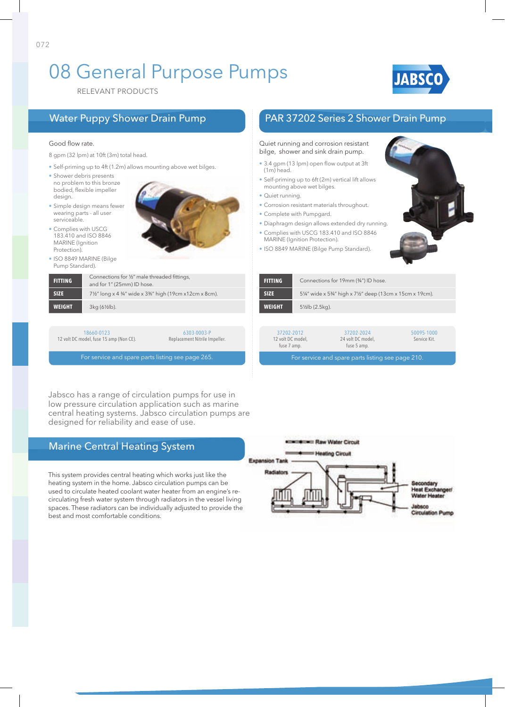# 08 General Purpose Pumps



RELEVAnT PRODuCTS

### Good flow rate.

8 gpm (32 lpm) at 10ft (3m) total head.

- Self-priming up to 4ft (1.2m) allows mounting above wet bilges.
- Shower debris presents no problem to this bronze bodied, flexible impeller design.
- Simple design means fewer wearing parts - all user serviceable.
- Complies with USCG 183.410 and ISO 8846 **MARINE** (Ignition Protection).
- ISO 8849 MARInE (Bilge Pump Standard).

**WEIGHT** 3kg (6½lb).



**FITTING** Connections for 1/2" male threaded fittings, and for 1" (25mm) ID hose. **SIZE** 7<sup>1</sup>/<sub>2</sub>" long x 4 <sup>3</sup>/<sub>4</sub>" wide x 3<sup>3</sup>%" high (19cm x12cm x 8cm).

18660-0123 12 volt DC model, fuse 15 amp (Non CE).

6303-0003-P Replacement Nitrile Impeller.

For service and spare parts listing see page 265.

Jabsco has a range of circulation pumps for use in low pressure circulation application such as marine central heating systems. Jabsco circulation pumps are designed for reliability and ease of use.

# Marine Central Heating System

This system provides central heating which works just like the heating system in the home. Jabsco circulation pumps can be used to circulate heated coolant water heater from an engine's recirculating fresh water system through radiators in the vessel living spaces. These radiators can be individually adjusted to provide the best and most comfortable conditions.

### **Except Frank Water Circuit Heating Circuit Expansion Tank** Radiators **Heat Exch** Water Heate labsco **Circulation Pump**

# Water Puppy Shower Drain Pump PAR 37202 Series 2 Shower Drain Pump

### Quiet running and corrosion resistant bilge, shower and sink drain pump.

- 3.4 gpm (13 lpm) open flow output at 3ft (1m) head.
- Self-priming up to 6ft (2m) vertical lift allows mounting above wet bilges.
- Quiet running.
- Corrosion resistant materials throughout.
- Complete with Pumpgard.
- Diaphragm design allows extended dry running.
- Complies with USCG 183.410 and ISO 8846 MARInE (Ignition Protection).
- 
- ISO 8849 MARInE (Bilge Pump Standard).

| <b>FITTING</b> | Connections for 19mm (3/4") ID hose.                 |
|----------------|------------------------------------------------------|
| <b>SIZE</b>    | 5¼" wide x 5¼" high x 7½" deep (13cm x 15cm x 19cm). |
| <b>WEIGHT</b>  | $5\frac{1}{2}$ lb (2.5kg).                           |

| 37202-2012<br>12 volt DC model,<br>fuse 7 amp.    | 37202-2024<br>24 volt DC model.<br>fuse 5 amp. | 50095-1000<br>Service Kit. |  |
|---------------------------------------------------|------------------------------------------------|----------------------------|--|
| For service and spare parts listing see page 210. |                                                |                            |  |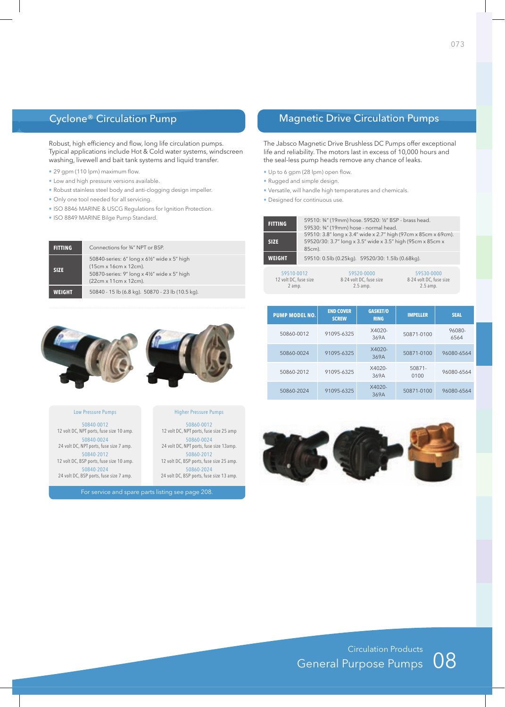# Cyclone® Circulation Pump

Robust, high efficiency and flow, long life circulation pumps. Typical applications include Hot & Cold water systems, windscreen washing, livewell and bait tank systems and liquid transfer.

- $\cdot$  29 gpm (110 lpm) maximum flow.
- Low and high pressure versions available.
- Robust stainless steel body and anti-clogging design impeller.
- Only one tool needed for all servicing.
- ISO 8846 MARInE & uSCg Regulations for Ignition Protection.
- ISO 8849 MARInE Bilge Pump Standard.

| <b>FITTING</b> | Connections for 3/4" NPT or BSP.                                                                                                               |  |  |
|----------------|------------------------------------------------------------------------------------------------------------------------------------------------|--|--|
| <b>SIZE</b>    | 50840-series: 6" long x 61/2" wide x 5" high<br>(15cm x 16cm x 12cm).<br>50870-series: 9" long x 41/2" wide x 5" high<br>(22cm x 11cm x 12cm). |  |  |
| WEIGHT         | 50840 - 15 lb (6.8 kg). 50870 - 23 lb (10.5 kg).                                                                                               |  |  |



Higher Pressure Pumps 50860-0012 12 volt DC, NPT ports, fuse size 25 amp 50860-0024 24 volt DC, NPT ports, fuse size 13amp. 50860-2012 12 volt DC, BSP ports, fuse size 25 amp. 50860-2024 24 volt DC, BSP ports, fuse size 13 amp.

### Low Pressure Pumps

50840-0012 12 volt DC, NPT ports, fuse size 10 amp. 50840-0024 24 volt DC, NPT ports, fuse size 7 amp. 50840-2012 12 volt DC, BSP ports, fuse size 10 amp. 50840-2024 24 volt DC, BSP ports, fuse size 7 amp.

For service and spare parts listing see page 208.

# Magnetic Drive Circulation Pumps

The Jabsco Magnetic Drive Brushless DC Pumps offer exceptional life and reliability. The motors last in excess of 10,000 hours and the seal-less pump heads remove any chance of leaks.

- Up to 6 gpm (28 lpm) open flow.
- Rugged and simple design.
- Versatile, will handle high temperatures and chemicals.
- Designed for continuous use.

| <b>FITTING</b>                                | 59510: 34" (19mm) hose. 59520: 1/2" BSP - brass head.<br>59530: 34" (19mm) hose - normal head.                                         |                                                     |                                                     |
|-----------------------------------------------|----------------------------------------------------------------------------------------------------------------------------------------|-----------------------------------------------------|-----------------------------------------------------|
| <b>SIZE</b>                                   | 59510: 3.8" long x 3.4" wide x 2.7" high (97cm x 85cm x 69cm).<br>59520/30: 3.7" long x 3.5" wide x 3.5" high (95cm x 85cm x<br>85cm). |                                                     |                                                     |
| <b>WEIGHT</b>                                 |                                                                                                                                        | 59510: 0.5lb (0.25kg). 59520/30: 1.5lb (0.68kg).    |                                                     |
| 59510-0012<br>12 volt DC, fuse size<br>2 amp. |                                                                                                                                        | 59520-0000<br>8-24 volt DC, fuse size<br>$2.5$ amp. | 59530-0000<br>8-24 volt DC, fuse size<br>$2.5$ amp. |

| <b>PUMP MODEL NO.</b> | <b>END COVER</b><br><b>SCREW</b> | <b>GASKET/O</b><br><b>RING</b> | <b>IMPELLER</b> | <b>SEAL</b>    |
|-----------------------|----------------------------------|--------------------------------|-----------------|----------------|
| 50860-0012            | 91095-6325                       | $X4020-$<br>369A               | 50871-0100      | 96080-<br>6564 |
| 50860-0024            | 91095-6325                       | $X4020 -$<br>369A              | 50871-0100      | 96080-6564     |
| 50860-2012            | 91095-6325                       | $X4020-$<br>369A               | 50871-<br>0100  | 96080-6564     |
| 50860-2024            | 91095-6325                       | $X4020-$<br>369A               | 50871-0100      | 96080-6564     |



Circulation Products General Purpose Pumps

08



073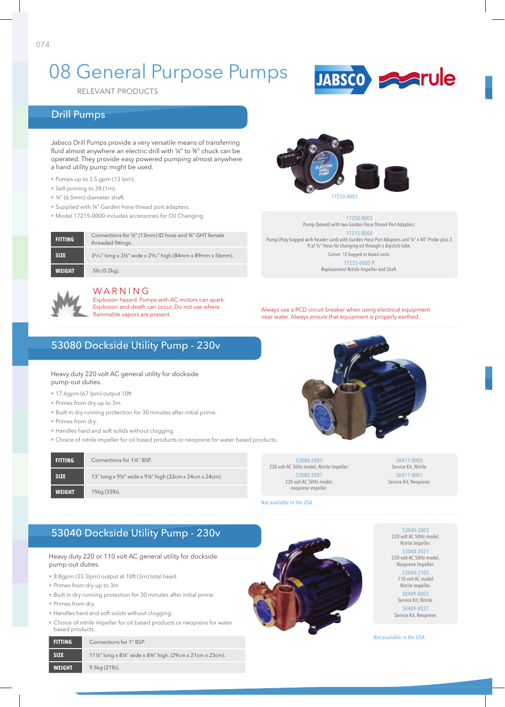# 08 General Purpose Pumps

RELEVAnT PRODuCTS

# Drill Pumps

Jabsco Drill Pumps provide a very versatile means of transferring fluid almost anywhere an electric drill with ¼" to %" chuck can be operated. They provide easy powered pumping almost anywhere a hand utility pump might be used.

- Pumps up to 3.5 gpm (13 lpm).
- Self-priming to 3ft (1m).
- ¼" (6.5mm) diameter shaft.
- Supplied with ¾" garden hose thread port adapters.
- Model 17215-0000 includes accessories for Oil Changing.

| <b>FITTING</b> | Connections for 1/2" (13mm) ID hose and 3/4" GHT female<br>threaded fittings.         |
|----------------|---------------------------------------------------------------------------------------|
| <b>SIZE</b>    | $35/16$ " long x $3\frac{1}{2}$ " wide x $2\frac{3}{16}$ " high (84mm x 89mm x 56mm). |
| <b>WEIGHT</b>  | $.5$ lb $(0.2$ kg).                                                                   |



### WARNING

Explosion hazard. Pumps with AC motors can spark. Explosion and death can occur. Do not use where<br>flammable vapors are present.

# 53080 Dockside Utility Pump - 230v

Heavy duty 220 volt AC general utility for dockside pump-out duties.

- 17.6gpm (67 lpm) output 10ft
- Primes from dry up to 3m.
- Built in dry running protection for 30 minutes after initial prime.
- Primes from dry.
- Handles hard and soft solids without clogging.
- Choice of nitrile impeller for oil based products or neoprene for water based products.

| <b>FITTING</b> | Connections for 1%" BSP.                                 |
|----------------|----------------------------------------------------------|
| <b>SIZE</b>    | 13" long x 91/2" wide x 91/2" high (33cm x 24cm x 24cm). |
| <b>WEIGHT</b>  | 15kg (33lb).                                             |



17250-0003 Pump (boxed) with two Garden Hose Thread Port Adapters. 17215-0000 Pump (Poly bagged with header card) with Garden Hose Port Adapters and ¼" x 40" Probe plus 3 ft of ½" Hose for changing oil through a dipstick tube. Carton: 12 bagged or boxed units. 17255-0003-P

JABSCO **PARTUIE** 

Replacement Nitrile Impeller and Shaft.

Always use a RCD circuit breaker when using electrical equipment near water. Always ensure that equipment is properly earthed.

53080-2003 220 volt AC 50Hz model, Nitrile Impeller. 53080-2001 220 volt AC 50Hz model, neoprene impeller.

Not available in the USA.

SK411-0003 Service Kit, Nitrile. SK411-0001 Service Kit, Neoprene.

53040 Dockside Utility Pump - 230v

Heavy duty 220 or 110 volt AC general utility for dockside pump-out duties.

- 8.8gpm (33.3lpm) output at 10ft (3m) total head.
- Primes from dry up to 3m
- Built in dry running protection for 30 minutes after initial prime.
- Primes from dry.
- Handles hard and soft solids without clogging.
- Choice of nitrile impeller for oil based products or neoprene for water based products.

| <b>FITTING</b> | Connections for 1" BSP.                                |
|----------------|--------------------------------------------------------|
| <b>SIZE</b>    | 11½" long x 8¼" wide x 8¼" high. (29cm x 21cm x 23cm). |
| <b>WEIGHT</b>  | $9.5kg(21lb)$ .                                        |



53040-2003 220 volt AC 50Hz model, Nitrile Impeller. 53040-2021 220 volt AC 50Hz model, Neoprene Impeller. 53040-2103 110 volt AC model Nitrile Impeller. SK409-0003 Service Kit, Nitrile. SK409-0021

Service Kit, Neoprene.

Not available in the USA.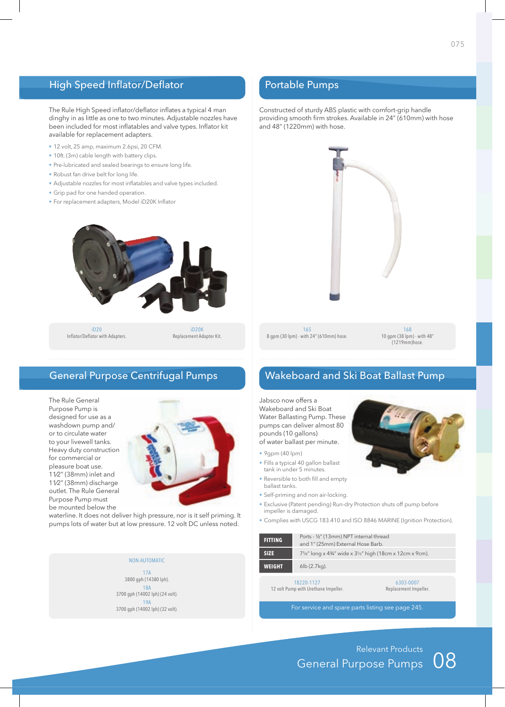# High Speed Inflator/Deflator

The Rule High Speed inflator/deflator inflates a typical 4 man dinghy in as little as one to two minutes. Adjustable nozzles have been included for most inflatables and valve types. Inflator kit available for replacement adapters.

- 12 volt, 25 amp, maximum 2.6psi, 20 CFM.
- 10ft. (3m) cable length with battery clips.
- Pre-lubricated and sealed bearings to ensure long life.
- Robust fan drive belt for long life.
- Adjustable nozzles for most inflatables and valve types included.
- Grip pad for one handed operation.
- For replacement adapters, Model iD20K Inflator



iD20 Inflator/Deflator with Adapters.

iD20K Replacement Adaptor Kit.

# General Purpose Centrifugal Pumps

The Rule General Purpose Pump is designed for use as a washdown pump and/ or to circulate water to your livewell tanks. Heavy duty construction for commercial or pleasure boat use. 11⁄2" (38mm) inlet and 11⁄2" (38mm) discharge outlet. The Rule General Purpose Pump must be mounted below the



waterline. It does not deliver high pressure, nor is it self priming. It pumps lots of water but at low pressure. 12 volt DC unless noted.

### NON-AUTOMATIC

17A 3800 gph (14380 lph). 18A 3700 gph (14002 lph) (24 volt). 19A 3700 gph (14002 lph) (32 volt).

# Portable Pumps

Constructed of sturdy ABS plastic with comfort-grip handle providing smooth firm strokes. Available in 24" (610mm) with hose and 48" (1220mm) with hose.



165 8 gpm (30 lpm) - with 24" (610mm) hose.

168 10 gpm (38 lpm) - with 48" (1219mm)hose.

# Wakeboard and Ski Boat Ballast Pump

Jabsco now offers a Wakeboard and Ski Boat Water Ballasting Pump. These pumps can deliver almost 80 pounds (10 gallons) of water ballast per minute.

- 9gpm (40 lpm)
- Fills a typical 40 gallon ballast tank in under 5 minutes.
- Reversible to both fill and empty ballast tanks.
- Self-priming and non air-locking.
- Exclusive (Patent pending) Run-dry Protection shuts off pump before impeller is damaged.
- Complies with USCG 183.410 and ISO 8846 MARINE (Ignition Protection).

| <b>FITTING</b>                                                                           | Ports - 1/2" (13mm) NPT internal thread<br>and 1" (25mm) External Hose Barb. |  |  |
|------------------------------------------------------------------------------------------|------------------------------------------------------------------------------|--|--|
| <b>SIZE</b>                                                                              | 71/8" long x 43/4" wide x $3\frac{5}{8}$ " high (18cm x 12cm x 9cm).         |  |  |
| <b>WEIGHT</b>                                                                            | $6lb(2.7kq)$ .                                                               |  |  |
| 18220-1127<br>6303-0007<br>12 volt Pump with Urethane Impeller.<br>Replacement Impeller. |                                                                              |  |  |

For service and spare parts listing see page 245.

08 Relevant Products general Purpose Pumps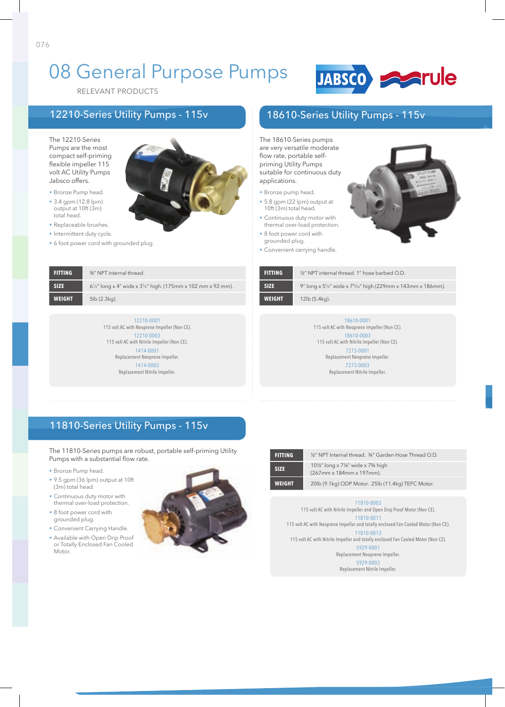# 08 General Purpose Pumps



RELEVAnT PRODuCTS

# 12210-Series Utility Pumps - 115v

The 12210-Series Pumps are the most compact self-priming flexible impeller 115 volt AC Utility Pumps Jabsco offers.

076

- Bronze Pump head.
- 3.4 gpm (12.8 lpm) output at 10ft (3m) total head.
- Replaceable brushes.
- Intermittent duty cycle.
- 6 foot power cord with grounded plug.

- suitable for continuous duty applications. • Bronze pump head. • 5.8 gpm (22 lpm) output at 10ft (3m) total head.
	- Continuous duty motor with thermal over-load protection.

The 18610-Series pumps are very versatile moderate flow rate, portable selfpriming Utility Pumps

- 8 foot power cord with grounded plug.
- Convenient carrying handle.



| <b>FITTING</b> | 1/2" NPT internal thread. 1" hose barbed O.D.                                     |
|----------------|-----------------------------------------------------------------------------------|
| <b>SIZE</b>    | 9" long x $5\frac{5}{8}$ " wide x $7\frac{5}{16}$ " high (229mm x 143mm x 186mm). |
| <b>WEIGHT</b>  | 12lb (5.4kg).                                                                     |

18610-Series Utility Pumps - 115v

18610-0001 115 volt AC with Neoprene Impeller (Non CE). 18610-0003 115 volt AC with Nitrile Impeller (Non CE). 7273-0001 Replacement Neoprene Impeller. 7273-0003 Replacement Nitrile Impeller.

**FITTING** 3<sup>%"</sup> NPT internal thread. **SIZE** 6<sup>7</sup>/8" long x 4" wide x 3<sup>5</sup>/8" high. (175mm x 102 mm x 92 mm). **WEIGHT** 5lb (2.3kg).

> 12210-0001 115 volt AC with Neoprene Impeller (Non CE). 12210-0003 115 volt AC with Nitrile Impeller (Non CE). 1414-0001 Replacement Neoprene Impeller. 1414-0003 Replacement Nitrile Impeller.

11810-Series Utility Pumps - 115v

The 11810-Series pumps are robust, portable self-priming Utility Pumps with a substantial flow rate.

- Bronze Pump head.
- 9.5 gpm (36 lpm) output at 10ft (3m) total head.
- Continuous duty motor with thermal over-load protection.
- 8 foot power cord with grounded plug.

Motor.

• Convenient Carrying Handle. • Available with Open Drip Proof or Totally Enclosed Fan Cooled



| FITTING       | 1/2" NPT Internal thread. 3/4" Garden Hose Thread O.D.     |
|---------------|------------------------------------------------------------|
| <b>SIZE</b>   | 10½" long x 7¼" wide x 7¾ high<br>(267mm x 184mm x 197mm). |
| <b>WEIGHT</b> | 20lb (9.1kg) ODP Motor. 25lb (11.4kg) TEFC Motor.          |
|               |                                                            |

11810-0003

115 volt AC with Nitrile Impeller and Open Drip Proof Motor (Non CE). 11810-0011

115 volt AC with Neoprene Impeller and totally enclosed Fan Cooled Motor (Non CE). 11810-0013

115 volt AC with Nitrile Impeller and totally enclosed Fan Cooled Motor (Non CE).

5929-0001 Replacement Neoprene Impeller.

5929-0003 Replacement Nitrile Impeller.